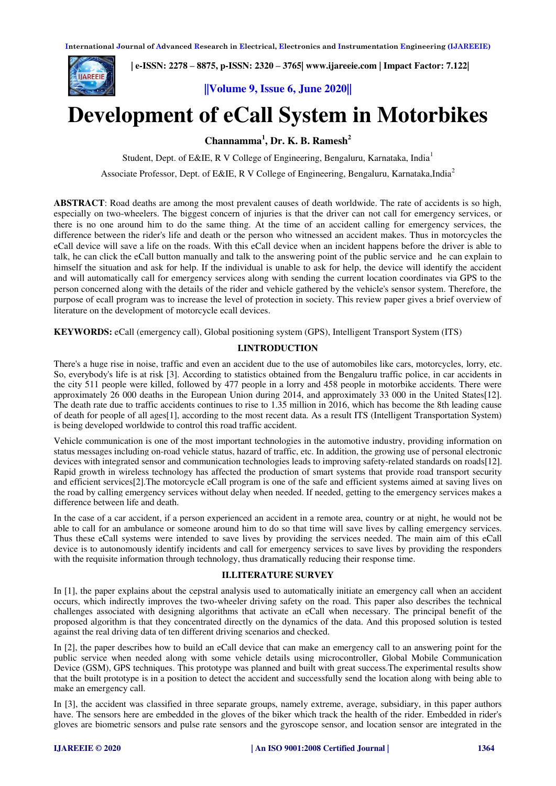

 **| e-ISSN: 2278 – 8875, p-ISSN: 2320 – 3765[| www.ijareeie.com](http://www.ijareeie.com/) | Impact Factor: 7.122|** 

**||Volume 9, Issue 6, June 2020||** 

# **Development of eCall System in Motorbikes**

**Channamma<sup>1</sup> , Dr. K. B. Ramesh<sup>2</sup>**

Student, Dept. of E&IE, R V College of Engineering, Bengaluru, Karnataka, India<sup>1</sup>

Associate Professor, Dept. of E&IE, R V College of Engineering, Bengaluru, Karnataka,India<sup>2</sup>

**ABSTRACT**: Road deaths are among the most prevalent causes of death worldwide. The rate of accidents is so high, especially on two-wheelers. The biggest concern of injuries is that the driver can not call for emergency services, or there is no one around him to do the same thing. At the time of an accident calling for emergency services, the difference between the rider's life and death or the person who witnessed an accident makes. Thus in motorcycles the eCall device will save a life on the roads. With this eCall device when an incident happens before the driver is able to talk, he can click the eCall button manually and talk to the answering point of the public service and he can explain to himself the situation and ask for help. If the individual is unable to ask for help, the device will identify the accident and will automatically call for emergency services along with sending the current location coordinates via GPS to the person concerned along with the details of the rider and vehicle gathered by the vehicle's sensor system. Therefore, the purpose of ecall program was to increase the level of protection in society. This review paper gives a brief overview of literature on the development of motorcycle ecall devices.

**KEYWORDS:** eCall (emergency call), Global positioning system (GPS), Intelligent Transport System (ITS)

#### **I.INTRODUCTION**

There's a huge rise in noise, traffic and even an accident due to the use of automobiles like cars, motorcycles, lorry, etc. So, everybody's life is at risk [3]. According to statistics obtained from the Bengaluru traffic police, in car accidents in the city 511 people were killed, followed by 477 people in a lorry and 458 people in motorbike accidents. There were approximately 26 000 deaths in the European Union during 2014, and approximately 33 000 in the United States[12]. The death rate due to traffic accidents continues to rise to 1.35 million in 2016, which has become the 8th leading cause of death for people of all ages[1], according to the most recent data. As a result ITS (Intelligent Transportation System) is being developed worldwide to control this road traffic accident.

Vehicle communication is one of the most important technologies in the automotive industry, providing information on status messages including on-road vehicle status, hazard of traffic, etc. In addition, the growing use of personal electronic devices with integrated sensor and communication technologies leads to improving safety-related standards on roads[12]. Rapid growth in wireless technology has affected the production of smart systems that provide road transport security and efficient services[2].The motorcycle eCall program is one of the safe and efficient systems aimed at saving lives on the road by calling emergency services without delay when needed. If needed, getting to the emergency services makes a difference between life and death.

In the case of a car accident, if a person experienced an accident in a remote area, country or at night, he would not be able to call for an ambulance or someone around him to do so that time will save lives by calling emergency services. Thus these eCall systems were intended to save lives by providing the services needed. The main aim of this eCall device is to autonomously identify incidents and call for emergency services to save lives by providing the responders with the requisite information through technology, thus dramatically reducing their response time.

### **II.LITERATURE SURVEY**

In [1], the paper explains about the cepstral analysis used to automatically initiate an emergency call when an accident occurs, which indirectly improves the two-wheeler driving safety on the road. This paper also describes the technical challenges associated with designing algorithms that activate an eCall when necessary. The principal benefit of the proposed algorithm is that they concentrated directly on the dynamics of the data. And this proposed solution is tested against the real driving data of ten different driving scenarios and checked.

In [2], the paper describes how to build an eCall device that can make an emergency call to an answering point for the public service when needed along with some vehicle details using microcontroller, Global Mobile Communication Device (GSM), GPS techniques. This prototype was planned and built with great success.The experimental results show that the built prototype is in a position to detect the accident and successfully send the location along with being able to make an emergency call.

In [3], the accident was classified in three separate groups, namely extreme, average, subsidiary, in this paper authors have. The sensors here are embedded in the gloves of the biker which track the health of the rider. Embedded in rider's gloves are biometric sensors and pulse rate sensors and the gyroscope sensor, and location sensor are integrated in the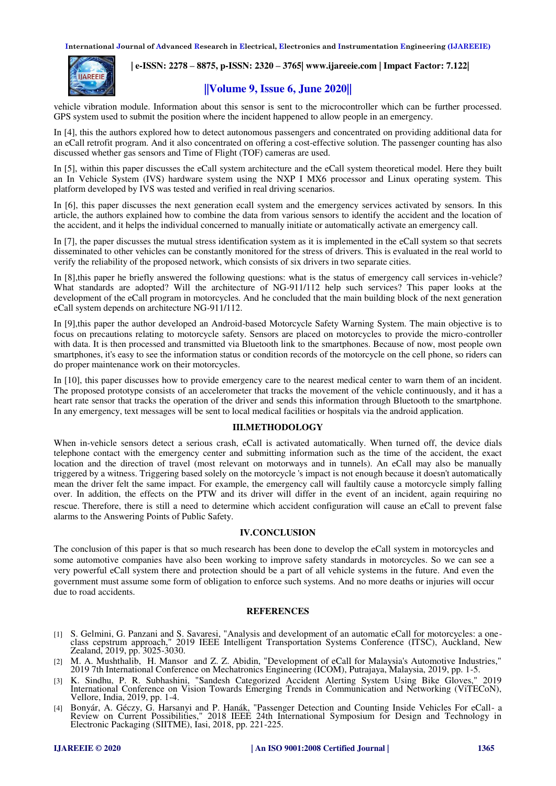**International Journal of Advanced Research in Electrical, Electronics and Instrumentation Engineering (IJAREEIE)** 



## **| e-ISSN: 2278 – 8875, p-ISSN: 2320 – 3765[| www.ijareeie.com](http://www.ijareeie.com/) | Impact Factor: 7.122|**

# **||Volume 9, Issue 6, June 2020||**

vehicle vibration module. Information about this sensor is sent to the microcontroller which can be further processed. GPS system used to submit the position where the incident happened to allow people in an emergency.

In [4], this the authors explored how to detect autonomous passengers and concentrated on providing additional data for an eCall retrofit program. And it also concentrated on offering a cost-effective solution. The passenger counting has also discussed whether gas sensors and Time of Flight (TOF) cameras are used.

In [5], within this paper discusses the eCall system architecture and the eCall system theoretical model. Here they built an In Vehicle System (IVS) hardware system using the NXP I MX6 processor and Linux operating system. This platform developed by IVS was tested and verified in real driving scenarios.

In [6], this paper discusses the next generation ecall system and the emergency services activated by sensors. In this article, the authors explained how to combine the data from various sensors to identify the accident and the location of the accident, and it helps the individual concerned to manually initiate or automatically activate an emergency call.

In [7], the paper discusses the mutual stress identification system as it is implemented in the eCall system so that secrets disseminated to other vehicles can be constantly monitored for the stress of drivers. This is evaluated in the real world to verify the reliability of the proposed network, which consists of six drivers in two separate cities.

In [8],this paper he briefly answered the following questions: what is the status of emergency call services in-vehicle? What standards are adopted? Will the architecture of NG-911/112 help such services? This paper looks at the development of the eCall program in motorcycles. And he concluded that the main building block of the next generation eCall system depends on architecture NG-911/112.

In [9],this paper the author developed an Android-based Motorcycle Safety Warning System. The main objective is to focus on precautions relating to motorcycle safety. Sensors are placed on motorcycles to provide the micro-controller with data. It is then processed and transmitted via Bluetooth link to the smartphones. Because of now, most people own smartphones, it's easy to see the information status or condition records of the motorcycle on the cell phone, so riders can do proper maintenance work on their motorcycles.

In [10], this paper discusses how to provide emergency care to the nearest medical center to warn them of an incident. The proposed prototype consists of an accelerometer that tracks the movement of the vehicle continuously, and it has a heart rate sensor that tracks the operation of the driver and sends this information through Bluetooth to the smartphone. In any emergency, text messages will be sent to local medical facilities or hospitals via the android application.

## **III.METHODOLOGY**

When in-vehicle sensors detect a serious crash, eCall is activated automatically. When turned off, the device dials telephone contact with the emergency center and submitting information such as the time of the accident, the exact location and the direction of travel (most relevant on motorways and in tunnels). An eCall may also be manually triggered by a witness. Triggering based solely on the motorcycle 's impact is not enough because it doesn't automatically mean the driver felt the same impact. For example, the emergency call will faultily cause a motorcycle simply falling over. In addition, the effects on the PTW and its driver will differ in the event of an incident, again requiring no rescue. Therefore, there is still a need to determine which accident configuration will cause an eCall to prevent false alarms to the Answering Points of Public Safety.

#### **IV.CONCLUSION**

The conclusion of this paper is that so much research has been done to develop the eCall system in motorcycles and some automotive companies have also been working to improve safety standards in motorcycles. So we can see a very powerful eCall system there and protection should be a part of all vehicle systems in the future. And even the government must assume some form of obligation to enforce such systems. And no more deaths or injuries will occur due to road accidents.

### **REFERENCES**

- [1] S. Gelmini, G. Panzani and S. Savaresi, "Analysis and development of an automatic eCall for motorcycles: a oneclass cepstrum approach," 2019 IEEE Intelligent Transportation Systems Conference (ITSC), Auckland, New Zealand, 2019, pp. 3025-3030.
- [2] M. A. Mushthalib, H. Mansor and Z. Z. Abidin, "Development of eCall for Malaysia's Automotive Industries," 2019 7th International Conference on Mechatronics Engineering (ICOM), Putrajaya, Malaysia, 2019, pp. 1-5.
- [3] K. Sindhu, P. R. Subhashini, "Sandesh Categorized Accident Alerting System Using Bike Gloves," 2019 International Conference on Vision Towards Emerging Trends in Communication and Networking (ViTECoN), Vellore, India, 2019, pp. 1-4.
- [4] Bonyár, A. Géczy, G. Harsanyi and P. Hanák, "Passenger Detection and Counting Inside Vehicles For eCall- a Review on Current Possibilities," 2018 IEEE 24th International Symposium for Design and Technology in Electronic Packaging (SIITME), Iasi, 2018, pp. 221-225.